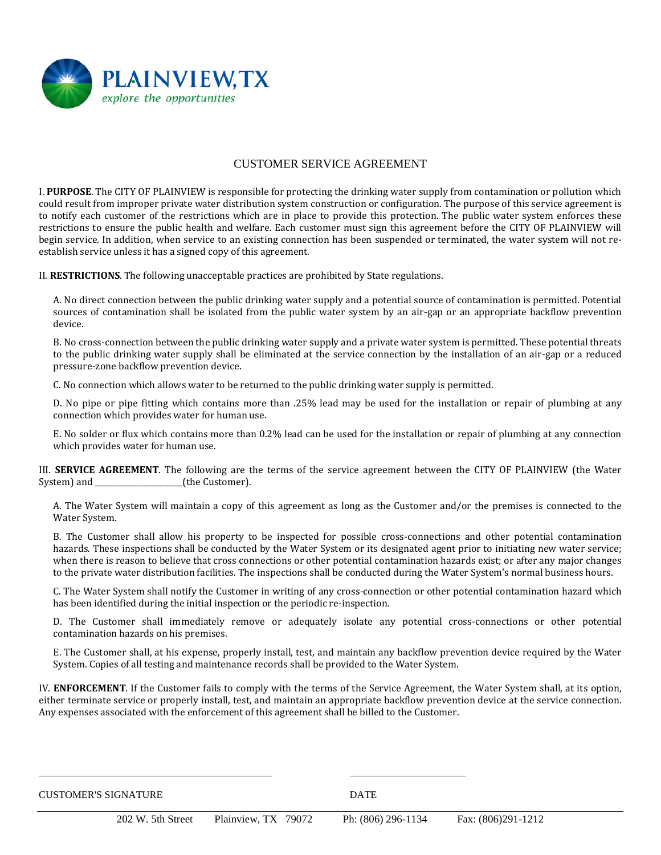

## CUSTOMER SERVICE AGREEMENT

I. **PURPOSE**. The CITY OF PLAINVIEW is responsible for protecting the drinking water supply from contamination or pollution which could result from improper private water distribution system construction or configuration. The purpose of this service agreement is to notify each customer of the restrictions which are in place to provide this protection. The public water system enforces these restrictions to ensure the public health and welfare. Each customer must sign this agreement before the CITY OF PLAINVIEW will begin service. In addition, when service to an existing connection has been suspended or terminated, the water system will not reestablish service unless it has a signed copy of this agreement.

II. **RESTRICTIONS**. The following unacceptable practices are prohibited by State regulations.

A. No direct connection between the public drinking water supply and a potential source of contamination is permitted. Potential sources of contamination shall be isolated from the public water system by an air-gap or an appropriate backflow prevention device.

B. No cross-connection between the public drinking water supply and a private water system is permitted. These potential threats to the public drinking water supply shall be eliminated at the service connection by the installation of an air-gap or a reduced pressure-zone backflow prevention device.

C. No connection which allows water to be returned to the public drinking water supply is permitted.

D. No pipe or pipe fitting which contains more than .25% lead may be used for the installation or repair of plumbing at any connection which provides water for human use.

E. No solder or flux which contains more than 0.2% lead can be used for the installation or repair of plumbing at any connection which provides water for human use.

III. **SERVICE AGREEMENT**. The following are the terms of the service agreement between the CITY OF PLAINVIEW (the Water System) and (the Customer). (the Customer).

A. The Water System will maintain a copy of this agreement as long as the Customer and/or the premises is connected to the Water System.

B. The Customer shall allow his property to be inspected for possible cross-connections and other potential contamination hazards. These inspections shall be conducted by the Water System or its designated agent prior to initiating new water service; when there is reason to believe that cross connections or other potential contamination hazards exist; or after any major changes to the private water distribution facilities. The inspections shall be conducted during the Water System's normal business hours.

C. The Water System shall notify the Customer in writing of any cross-connection or other potential contamination hazard which has been identified during the initial inspection or the periodic re-inspection.

D. The Customer shall immediately remove or adequately isolate any potential cross-connections or other potential contamination hazards on his premises.

E. The Customer shall, at his expense, properly install, test, and maintain any backflow prevention device required by the Water System. Copies of all testing and maintenance records shall be provided to the Water System.

IV. **ENFORCEMENT**. If the Customer fails to comply with the terms of the Service Agreement, the Water System shall, at its option, either terminate service or properly install, test, and maintain an appropriate backflow prevention device at the service connection. Any expenses associated with the enforcement of this agreement shall be billed to the Customer.

CUSTOMER'S SIGNATURE **DATE**